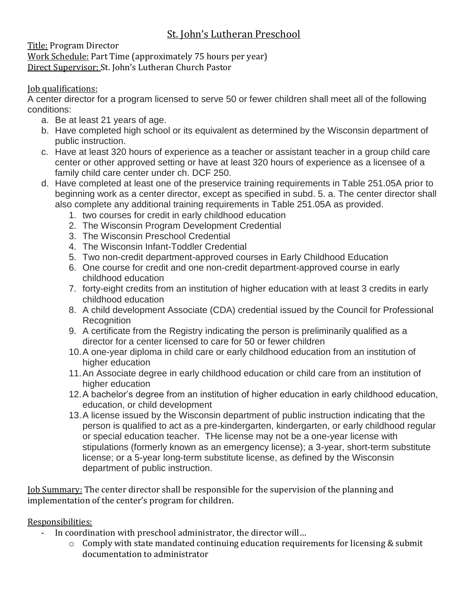## St. John's Lutheran Preschool

Title: Program Director Work Schedule: Part Time (approximately 75 hours per year) Direct Supervisor: St. John's Lutheran Church Pastor

## Job qualifications:

A center director for a program licensed to serve 50 or fewer children shall meet all of the following conditions:

- a. Be at least 21 years of age.
- b. Have completed high school or its equivalent as determined by the Wisconsin department of public instruction.
- c. Have at least 320 hours of experience as a teacher or assistant teacher in a group child care center or other approved setting or have at least 320 hours of experience as a licensee of a family child care center under ch. DCF 250.
- d. Have completed at least one of the preservice training requirements in Table 251.05A prior to beginning work as a center director, except as specified in subd. 5. a. The center director shall also complete any additional training requirements in Table 251.05A as provided.
	- 1. two courses for credit in early childhood education
	- 2. The Wisconsin Program Development Credential
	- 3. The Wisconsin Preschool Credential
	- 4. The Wisconsin Infant-Toddler Credential
	- 5. Two non-credit department-approved courses in Early Childhood Education
	- 6. One course for credit and one non-credit department-approved course in early childhood education
	- 7. forty-eight credits from an institution of higher education with at least 3 credits in early childhood education
	- 8. A child development Associate (CDA) credential issued by the Council for Professional **Recognition**
	- 9. A certificate from the Registry indicating the person is preliminarily qualified as a director for a center licensed to care for 50 or fewer children
	- 10.A one-year diploma in child care or early childhood education from an institution of higher education
	- 11.An Associate degree in early childhood education or child care from an institution of higher education
	- 12.A bachelor's degree from an institution of higher education in early childhood education, education, or child development
	- 13.A license issued by the Wisconsin department of public instruction indicating that the person is qualified to act as a pre-kindergarten, kindergarten, or early childhood regular or special education teacher. THe license may not be a one-year license with stipulations (formerly known as an emergency license); a 3-year, short-term substitute license; or a 5-year long-term substitute license, as defined by the Wisconsin department of public instruction.

Job Summary: The center director shall be responsible for the supervision of the planning and implementation of the center's program for children.

## Responsibilities:

- In coordination with preschool administrator, the director will...
	- o Comply with state mandated continuing education requirements for licensing & submit documentation to administrator